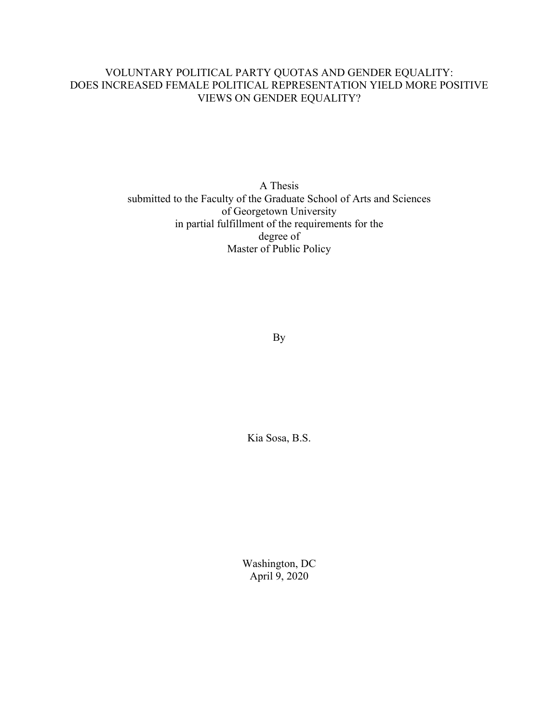### VOLUNTARY POLITICAL PARTY QUOTAS AND GENDER EQUALITY: DOES INCREASED FEMALE POLITICAL REPRESENTATION YIELD MORE POSITIVE VIEWS ON GENDER EQUALITY?

A Thesis submitted to the Faculty of the Graduate School of Arts and Sciences of Georgetown University in partial fulfillment of the requirements for the degree of Master of Public Policy

By

Kia Sosa, B.S.

Washington, DC April 9, 2020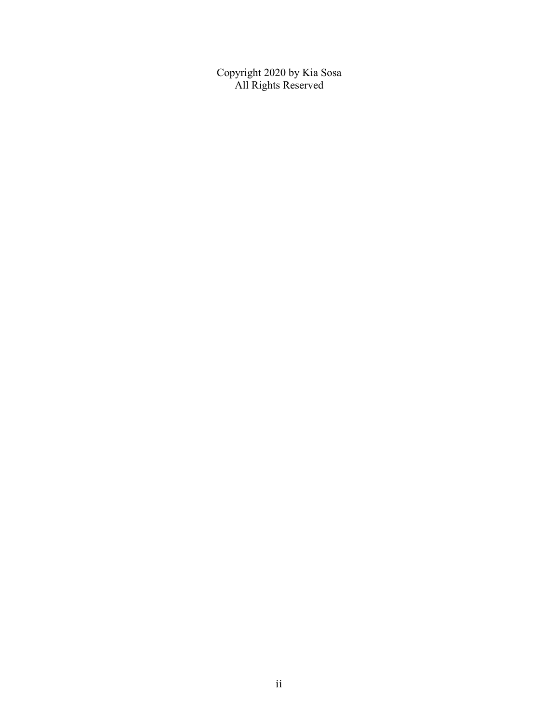Copyright 2020 by Kia Sosa All Rights Reserved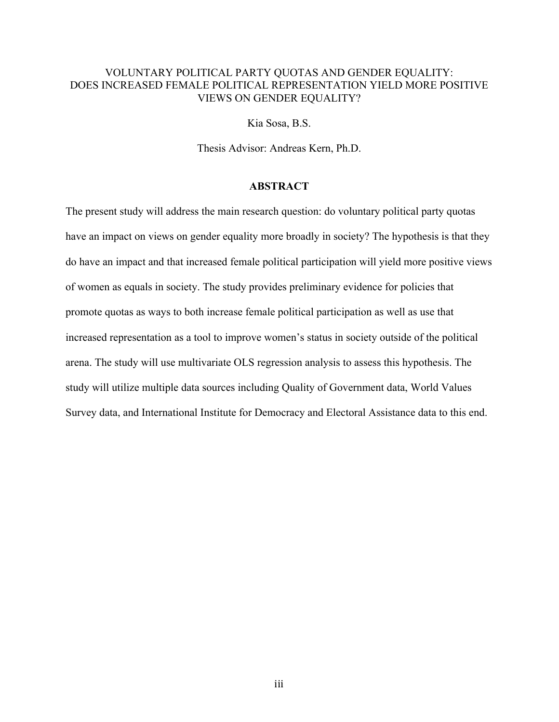### VOLUNTARY POLITICAL PARTY QUOTAS AND GENDER EQUALITY: DOES INCREASED FEMALE POLITICAL REPRESENTATION YIELD MORE POSITIVE VIEWS ON GENDER EQUALITY?

Kia Sosa, B.S.

Thesis Advisor: Andreas Kern, Ph.D.

#### **ABSTRACT**

The present study will address the main research question: do voluntary political party quotas have an impact on views on gender equality more broadly in society? The hypothesis is that they do have an impact and that increased female political participation will yield more positive views of women as equals in society. The study provides preliminary evidence for policies that promote quotas as ways to both increase female political participation as well as use that increased representation as a tool to improve women's status in society outside of the political arena. The study will use multivariate OLS regression analysis to assess this hypothesis. The study will utilize multiple data sources including Quality of Government data, World Values Survey data, and International Institute for Democracy and Electoral Assistance data to this end.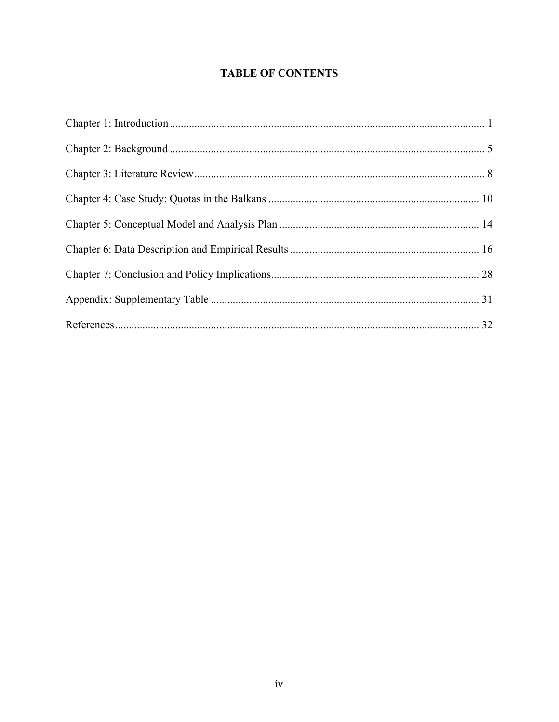# **TABLE OF CONTENTS**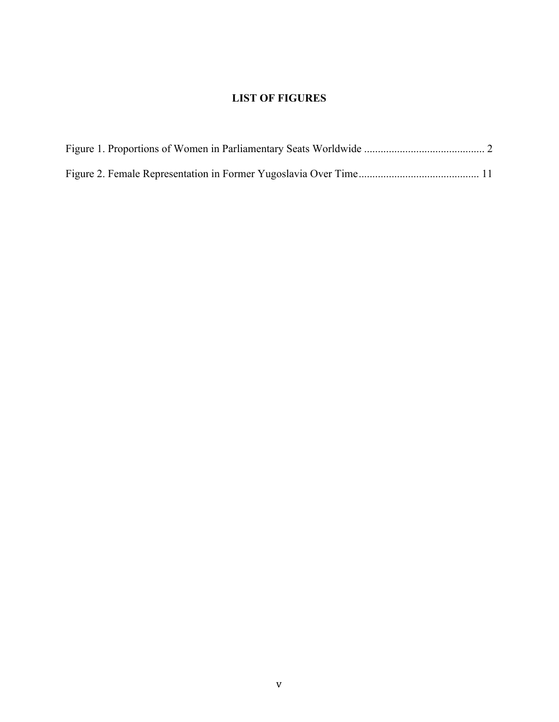## **LIST OF FIGURES**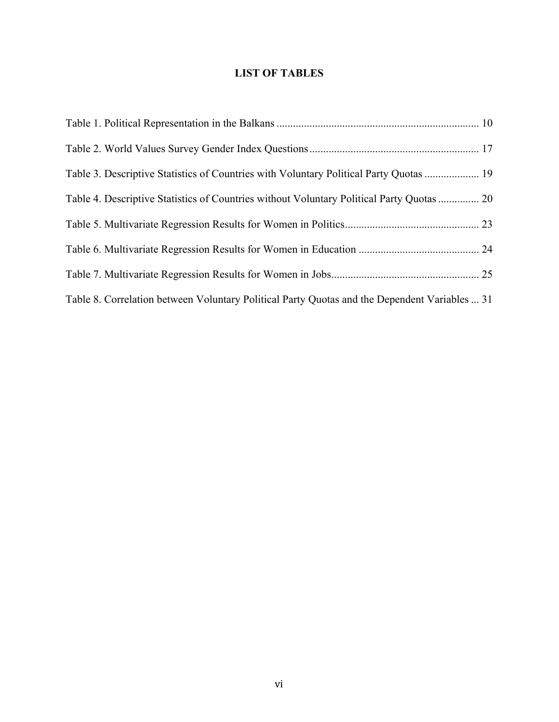# **LIST OF TABLES**

| Table 3. Descriptive Statistics of Countries with Voluntary Political Party Quotas  19        |  |
|-----------------------------------------------------------------------------------------------|--|
| Table 4. Descriptive Statistics of Countries without Voluntary Political Party Quotas  20     |  |
|                                                                                               |  |
|                                                                                               |  |
|                                                                                               |  |
| Table 8. Correlation between Voluntary Political Party Quotas and the Dependent Variables  31 |  |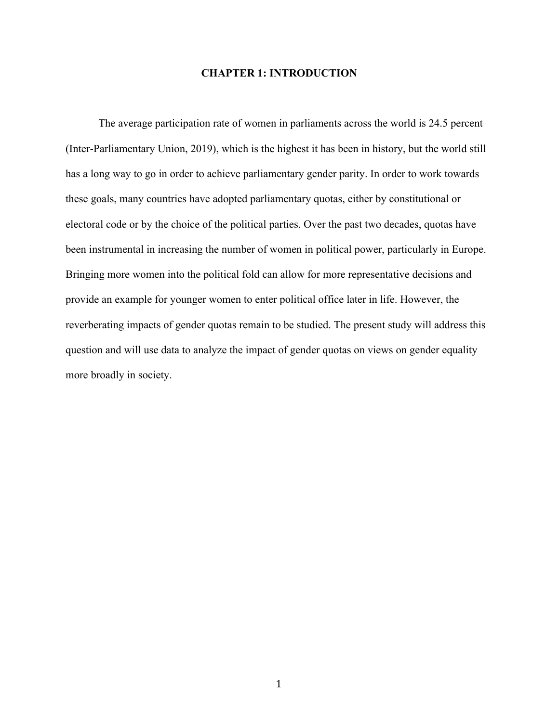#### **CHAPTER 1: INTRODUCTION**

The average participation rate of women in parliaments across the world is 24.5 percent (Inter-Parliamentary Union, 2019), which is the highest it has been in history, but the world still has a long way to go in order to achieve parliamentary gender parity. In order to work towards these goals, many countries have adopted parliamentary quotas, either by constitutional or electoral code or by the choice of the political parties. Over the past two decades, quotas have been instrumental in increasing the number of women in political power, particularly in Europe. Bringing more women into the political fold can allow for more representative decisions and provide an example for younger women to enter political office later in life. However, the reverberating impacts of gender quotas remain to be studied. The present study will address this question and will use data to analyze the impact of gender quotas on views on gender equality more broadly in society.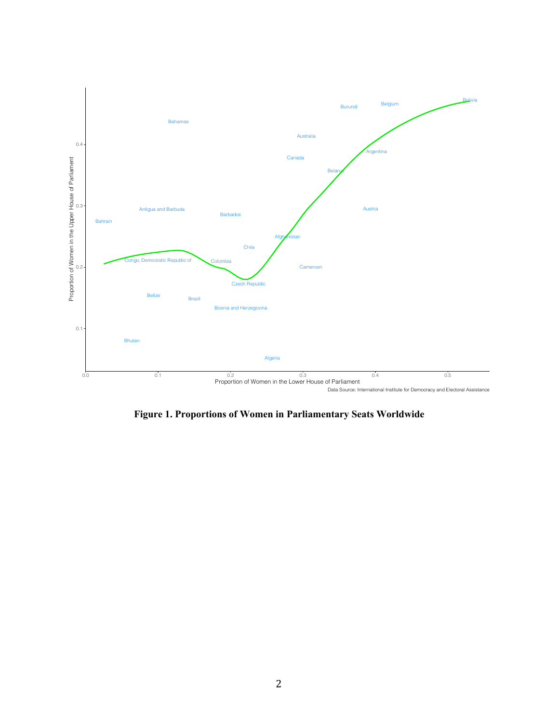

**Figure 1. Proportions of Women in Parliamentary Seats Worldwide**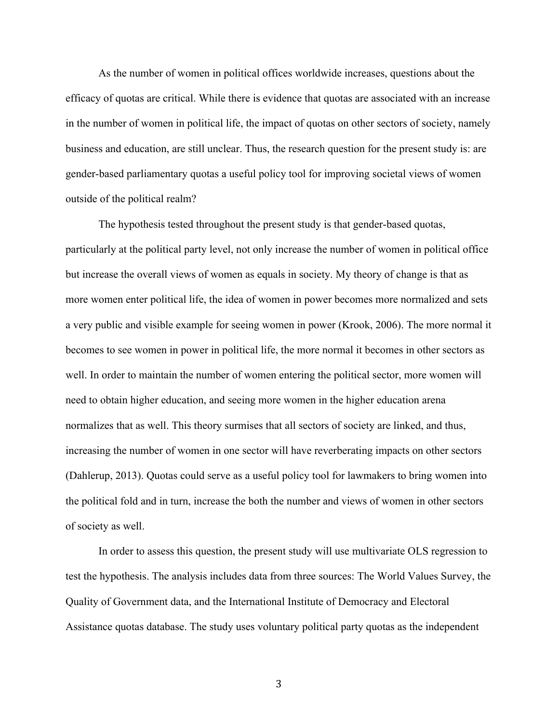As the number of women in political offices worldwide increases, questions about the efficacy of quotas are critical. While there is evidence that quotas are associated with an increase in the number of women in political life, the impact of quotas on other sectors of society, namely business and education, are still unclear. Thus, the research question for the present study is: are gender-based parliamentary quotas a useful policy tool for improving societal views of women outside of the political realm?

The hypothesis tested throughout the present study is that gender-based quotas, particularly at the political party level, not only increase the number of women in political office but increase the overall views of women as equals in society. My theory of change is that as more women enter political life, the idea of women in power becomes more normalized and sets a very public and visible example for seeing women in power (Krook, 2006). The more normal it becomes to see women in power in political life, the more normal it becomes in other sectors as well. In order to maintain the number of women entering the political sector, more women will need to obtain higher education, and seeing more women in the higher education arena normalizes that as well. This theory surmises that all sectors of society are linked, and thus, increasing the number of women in one sector will have reverberating impacts on other sectors (Dahlerup, 2013). Quotas could serve as a useful policy tool for lawmakers to bring women into the political fold and in turn, increase the both the number and views of women in other sectors of society as well.

In order to assess this question, the present study will use multivariate OLS regression to test the hypothesis. The analysis includes data from three sources: The World Values Survey, the Quality of Government data, and the International Institute of Democracy and Electoral Assistance quotas database. The study uses voluntary political party quotas as the independent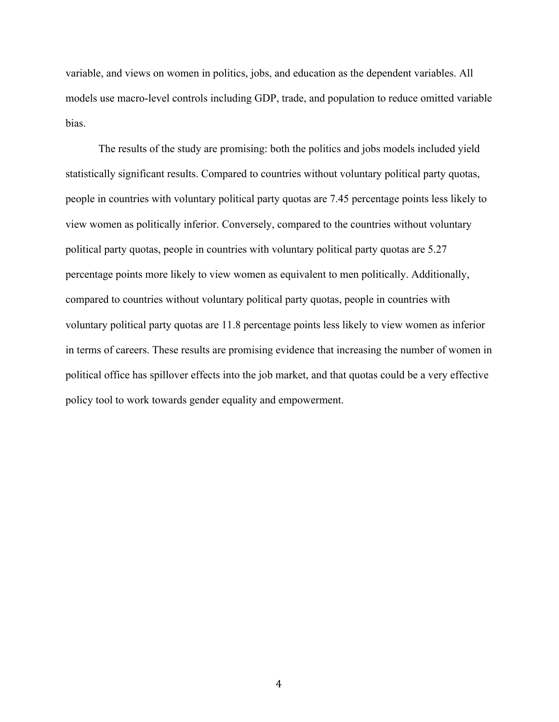variable, and views on women in politics, jobs, and education as the dependent variables. All models use macro-level controls including GDP, trade, and population to reduce omitted variable bias.

The results of the study are promising: both the politics and jobs models included yield statistically significant results. Compared to countries without voluntary political party quotas, people in countries with voluntary political party quotas are 7.45 percentage points less likely to view women as politically inferior. Conversely, compared to the countries without voluntary political party quotas, people in countries with voluntary political party quotas are 5.27 percentage points more likely to view women as equivalent to men politically. Additionally, compared to countries without voluntary political party quotas, people in countries with voluntary political party quotas are 11.8 percentage points less likely to view women as inferior in terms of careers. These results are promising evidence that increasing the number of women in political office has spillover effects into the job market, and that quotas could be a very effective policy tool to work towards gender equality and empowerment.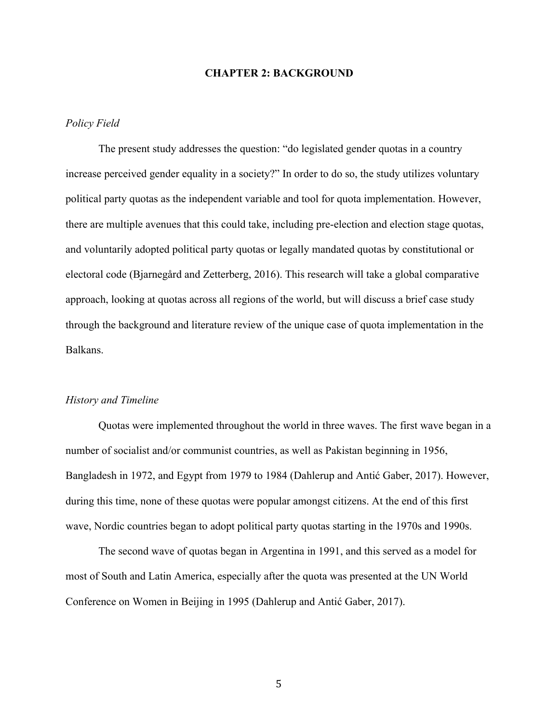#### **CHAPTER 2: BACKGROUND**

#### *Policy Field*

The present study addresses the question: "do legislated gender quotas in a country increase perceived gender equality in a society?" In order to do so, the study utilizes voluntary political party quotas as the independent variable and tool for quota implementation. However, there are multiple avenues that this could take, including pre-election and election stage quotas, and voluntarily adopted political party quotas or legally mandated quotas by constitutional or electoral code (Bjarnegård and Zetterberg, 2016). This research will take a global comparative approach, looking at quotas across all regions of the world, but will discuss a brief case study through the background and literature review of the unique case of quota implementation in the Balkans.

#### *History and Timeline*

Quotas were implemented throughout the world in three waves. The first wave began in a number of socialist and/or communist countries, as well as Pakistan beginning in 1956, Bangladesh in 1972, and Egypt from 1979 to 1984 (Dahlerup and Antić Gaber, 2017). However, during this time, none of these quotas were popular amongst citizens. At the end of this first wave, Nordic countries began to adopt political party quotas starting in the 1970s and 1990s.

The second wave of quotas began in Argentina in 1991, and this served as a model for most of South and Latin America, especially after the quota was presented at the UN World Conference on Women in Beijing in 1995 (Dahlerup and Antić Gaber, 2017).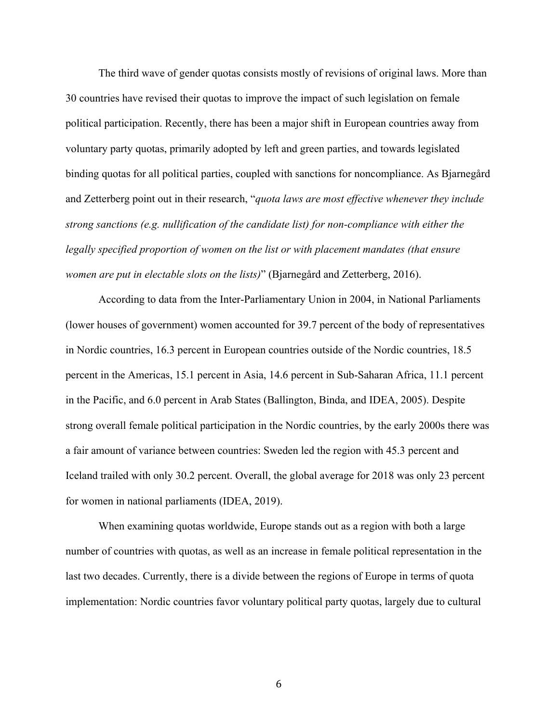The third wave of gender quotas consists mostly of revisions of original laws. More than 30 countries have revised their quotas to improve the impact of such legislation on female political participation. Recently, there has been a major shift in European countries away from voluntary party quotas, primarily adopted by left and green parties, and towards legislated binding quotas for all political parties, coupled with sanctions for noncompliance. As Bjarnegård and Zetterberg point out in their research, "*quota laws are most effective whenever they include strong sanctions (e.g. nullification of the candidate list) for non-compliance with either the legally specified proportion of women on the list or with placement mandates (that ensure women are put in electable slots on the lists)*" (Bjarnegård and Zetterberg, 2016).

According to data from the Inter-Parliamentary Union in 2004, in National Parliaments (lower houses of government) women accounted for 39.7 percent of the body of representatives in Nordic countries, 16.3 percent in European countries outside of the Nordic countries, 18.5 percent in the Americas, 15.1 percent in Asia, 14.6 percent in Sub-Saharan Africa, 11.1 percent in the Pacific, and 6.0 percent in Arab States (Ballington, Binda, and IDEA, 2005). Despite strong overall female political participation in the Nordic countries, by the early 2000s there was a fair amount of variance between countries: Sweden led the region with 45.3 percent and Iceland trailed with only 30.2 percent. Overall, the global average for 2018 was only 23 percent for women in national parliaments (IDEA, 2019).

When examining quotas worldwide, Europe stands out as a region with both a large number of countries with quotas, as well as an increase in female political representation in the last two decades. Currently, there is a divide between the regions of Europe in terms of quota implementation: Nordic countries favor voluntary political party quotas, largely due to cultural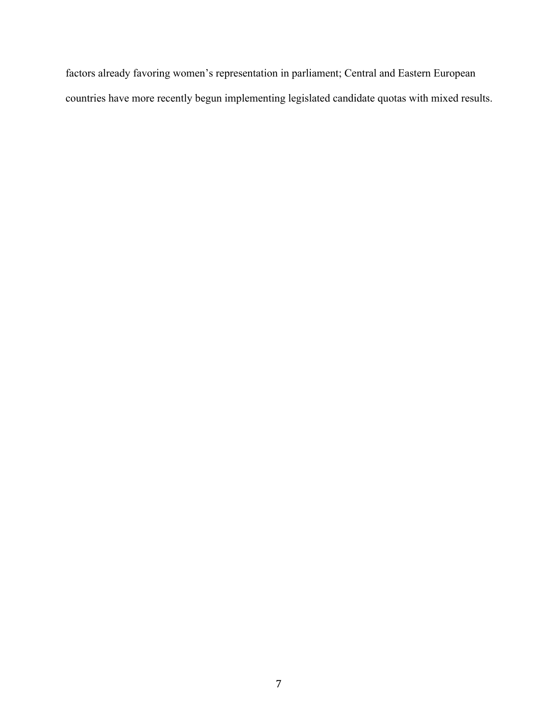factors already favoring women's representation in parliament; Central and Eastern European countries have more recently begun implementing legislated candidate quotas with mixed results.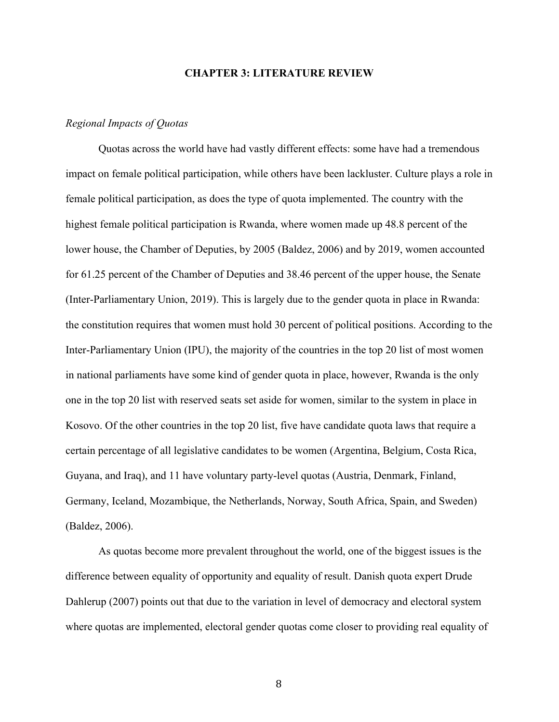#### **CHAPTER 3: LITERATURE REVIEW**

#### *Regional Impacts of Quotas*

Quotas across the world have had vastly different effects: some have had a tremendous impact on female political participation, while others have been lackluster. Culture plays a role in female political participation, as does the type of quota implemented. The country with the highest female political participation is Rwanda, where women made up 48.8 percent of the lower house, the Chamber of Deputies, by 2005 (Baldez, 2006) and by 2019, women accounted for 61.25 percent of the Chamber of Deputies and 38.46 percent of the upper house, the Senate (Inter-Parliamentary Union, 2019). This is largely due to the gender quota in place in Rwanda: the constitution requires that women must hold 30 percent of political positions. According to the Inter-Parliamentary Union (IPU), the majority of the countries in the top 20 list of most women in national parliaments have some kind of gender quota in place, however, Rwanda is the only one in the top 20 list with reserved seats set aside for women, similar to the system in place in Kosovo. Of the other countries in the top 20 list, five have candidate quota laws that require a certain percentage of all legislative candidates to be women (Argentina, Belgium, Costa Rica, Guyana, and Iraq), and 11 have voluntary party-level quotas (Austria, Denmark, Finland, Germany, Iceland, Mozambique, the Netherlands, Norway, South Africa, Spain, and Sweden) (Baldez, 2006).

As quotas become more prevalent throughout the world, one of the biggest issues is the difference between equality of opportunity and equality of result. Danish quota expert Drude Dahlerup (2007) points out that due to the variation in level of democracy and electoral system where quotas are implemented, electoral gender quotas come closer to providing real equality of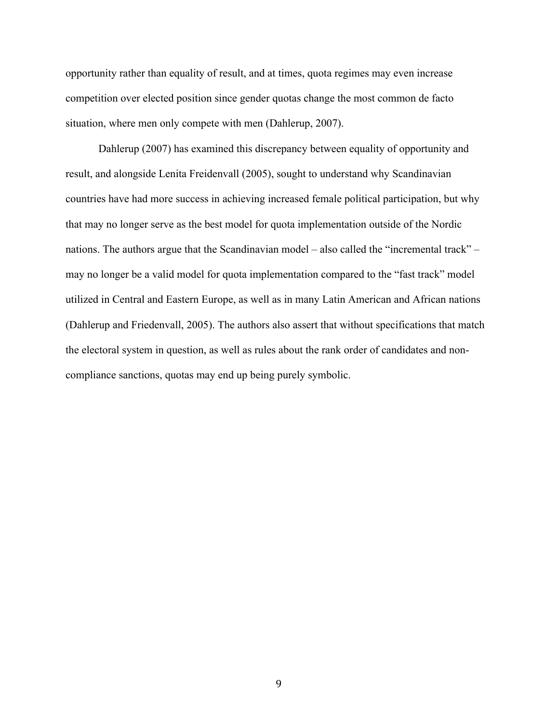opportunity rather than equality of result, and at times, quota regimes may even increase competition over elected position since gender quotas change the most common de facto situation, where men only compete with men (Dahlerup, 2007).

Dahlerup (2007) has examined this discrepancy between equality of opportunity and result, and alongside Lenita Freidenvall (2005), sought to understand why Scandinavian countries have had more success in achieving increased female political participation, but why that may no longer serve as the best model for quota implementation outside of the Nordic nations. The authors argue that the Scandinavian model – also called the "incremental track" – may no longer be a valid model for quota implementation compared to the "fast track" model utilized in Central and Eastern Europe, as well as in many Latin American and African nations (Dahlerup and Friedenvall, 2005). The authors also assert that without specifications that match the electoral system in question, as well as rules about the rank order of candidates and noncompliance sanctions, quotas may end up being purely symbolic.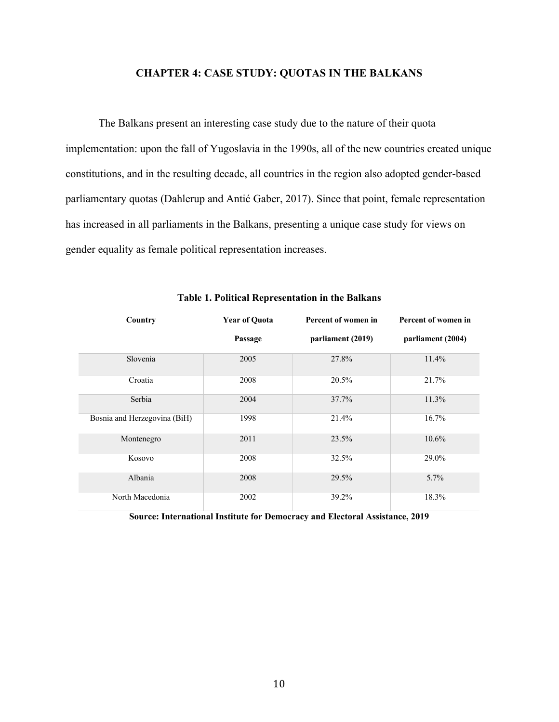#### **CHAPTER 4: CASE STUDY: QUOTAS IN THE BALKANS**

The Balkans present an interesting case study due to the nature of their quota implementation: upon the fall of Yugoslavia in the 1990s, all of the new countries created unique constitutions, and in the resulting decade, all countries in the region also adopted gender-based parliamentary quotas (Dahlerup and Antić Gaber, 2017). Since that point, female representation has increased in all parliaments in the Balkans, presenting a unique case study for views on gender equality as female political representation increases.

| Country                      | <b>Year of Quota</b> | Percent of women in | Percent of women in |
|------------------------------|----------------------|---------------------|---------------------|
|                              | Passage              | parliament (2019)   | parliament (2004)   |
| Slovenia                     | 2005                 | 27.8%               | 11.4%               |
| Croatia                      | 2008                 | 20.5%               | 21.7%               |
| Serbia                       | 2004                 | 37.7%               | 11.3%               |
| Bosnia and Herzegovina (BiH) | 1998                 | 21.4%               | 16.7%               |
| Montenegro                   | 2011                 | 23.5%               | $10.6\%$            |
| Kosovo                       | 2008                 | 32.5%               | 29.0%               |
| Albania                      | 2008                 | 29.5%               | 5.7%                |
| North Macedonia              | 2002                 | 39.2%               | 18.3%               |

### **Table 1. Political Representation in the Balkans**

**Source: International Institute for Democracy and Electoral Assistance, 2019**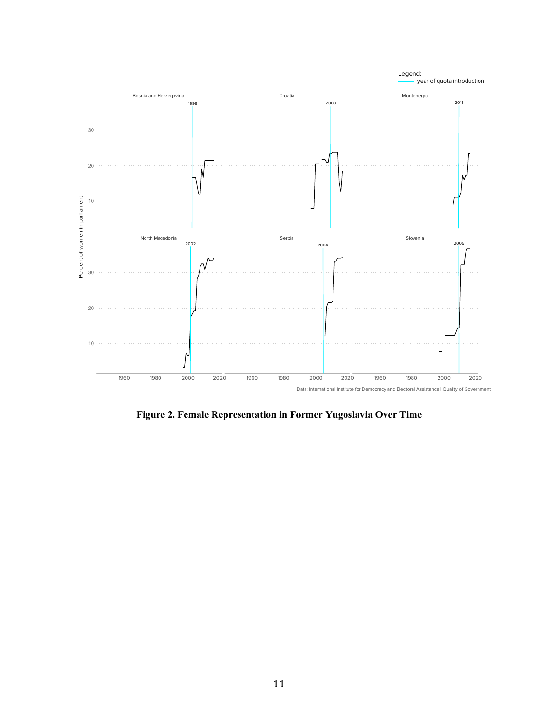

**Figure 2. Female Representation in Former Yugoslavia Over Time**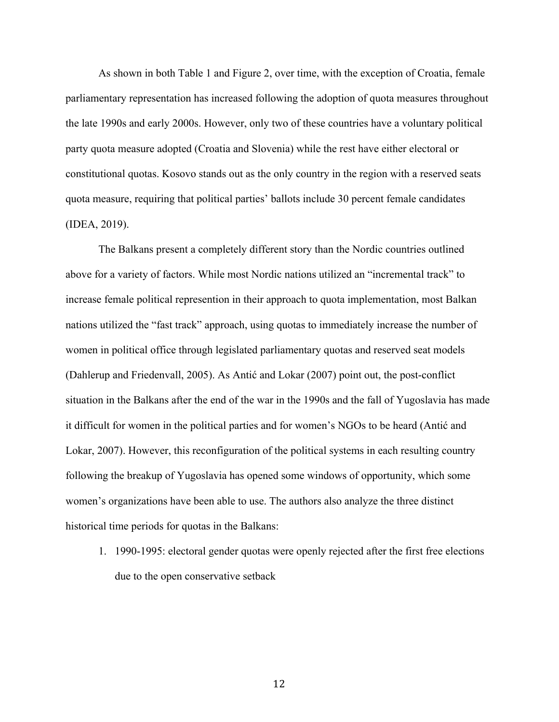As shown in both Table 1 and Figure 2, over time, with the exception of Croatia, female parliamentary representation has increased following the adoption of quota measures throughout the late 1990s and early 2000s. However, only two of these countries have a voluntary political party quota measure adopted (Croatia and Slovenia) while the rest have either electoral or constitutional quotas. Kosovo stands out as the only country in the region with a reserved seats quota measure, requiring that political parties' ballots include 30 percent female candidates (IDEA, 2019).

The Balkans present a completely different story than the Nordic countries outlined above for a variety of factors. While most Nordic nations utilized an "incremental track" to increase female political represention in their approach to quota implementation, most Balkan nations utilized the "fast track" approach, using quotas to immediately increase the number of women in political office through legislated parliamentary quotas and reserved seat models (Dahlerup and Friedenvall, 2005). As Antić and Lokar (2007) point out, the post-conflict situation in the Balkans after the end of the war in the 1990s and the fall of Yugoslavia has made it difficult for women in the political parties and for women's NGOs to be heard (Antić and Lokar, 2007). However, this reconfiguration of the political systems in each resulting country following the breakup of Yugoslavia has opened some windows of opportunity, which some women's organizations have been able to use. The authors also analyze the three distinct historical time periods for quotas in the Balkans:

1. 1990-1995: electoral gender quotas were openly rejected after the first free elections due to the open conservative setback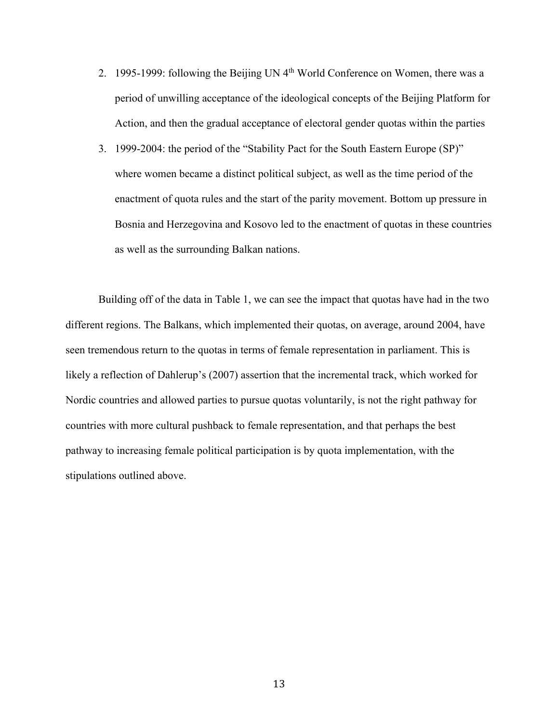- 2. 1995-1999: following the Beijing UN 4th World Conference on Women, there was a period of unwilling acceptance of the ideological concepts of the Beijing Platform for Action, and then the gradual acceptance of electoral gender quotas within the parties
- 3. 1999-2004: the period of the "Stability Pact for the South Eastern Europe (SP)" where women became a distinct political subject, as well as the time period of the enactment of quota rules and the start of the parity movement. Bottom up pressure in Bosnia and Herzegovina and Kosovo led to the enactment of quotas in these countries as well as the surrounding Balkan nations.

Building off of the data in Table 1, we can see the impact that quotas have had in the two different regions. The Balkans, which implemented their quotas, on average, around 2004, have seen tremendous return to the quotas in terms of female representation in parliament. This is likely a reflection of Dahlerup's (2007) assertion that the incremental track, which worked for Nordic countries and allowed parties to pursue quotas voluntarily, is not the right pathway for countries with more cultural pushback to female representation, and that perhaps the best pathway to increasing female political participation is by quota implementation, with the stipulations outlined above.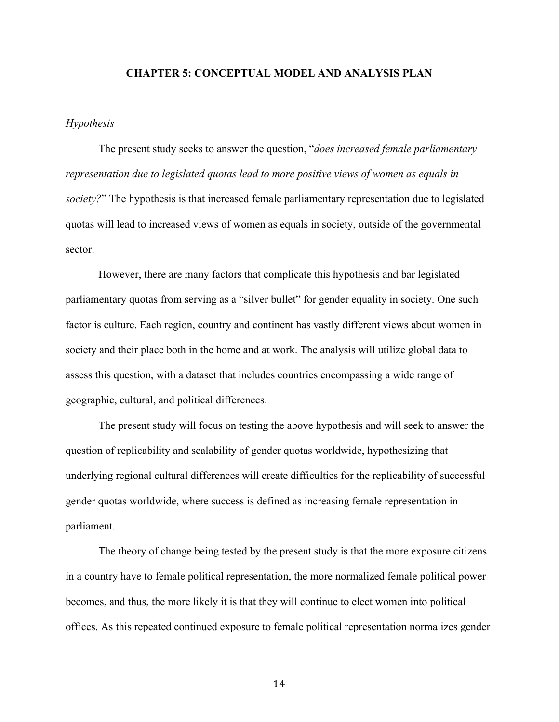#### **CHAPTER 5: CONCEPTUAL MODEL AND ANALYSIS PLAN**

#### *Hypothesis*

The present study seeks to answer the question, "*does increased female parliamentary representation due to legislated quotas lead to more positive views of women as equals in society?*" The hypothesis is that increased female parliamentary representation due to legislated quotas will lead to increased views of women as equals in society, outside of the governmental sector.

However, there are many factors that complicate this hypothesis and bar legislated parliamentary quotas from serving as a "silver bullet" for gender equality in society. One such factor is culture. Each region, country and continent has vastly different views about women in society and their place both in the home and at work. The analysis will utilize global data to assess this question, with a dataset that includes countries encompassing a wide range of geographic, cultural, and political differences.

The present study will focus on testing the above hypothesis and will seek to answer the question of replicability and scalability of gender quotas worldwide, hypothesizing that underlying regional cultural differences will create difficulties for the replicability of successful gender quotas worldwide, where success is defined as increasing female representation in parliament.

The theory of change being tested by the present study is that the more exposure citizens in a country have to female political representation, the more normalized female political power becomes, and thus, the more likely it is that they will continue to elect women into political offices. As this repeated continued exposure to female political representation normalizes gender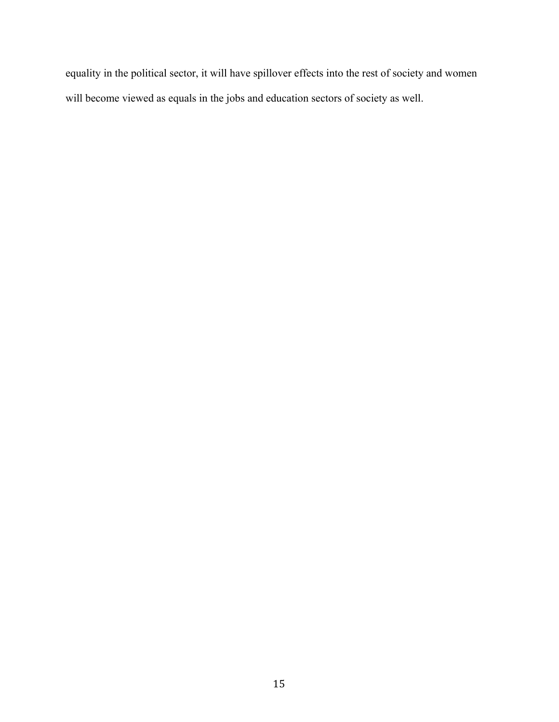equality in the political sector, it will have spillover effects into the rest of society and women will become viewed as equals in the jobs and education sectors of society as well.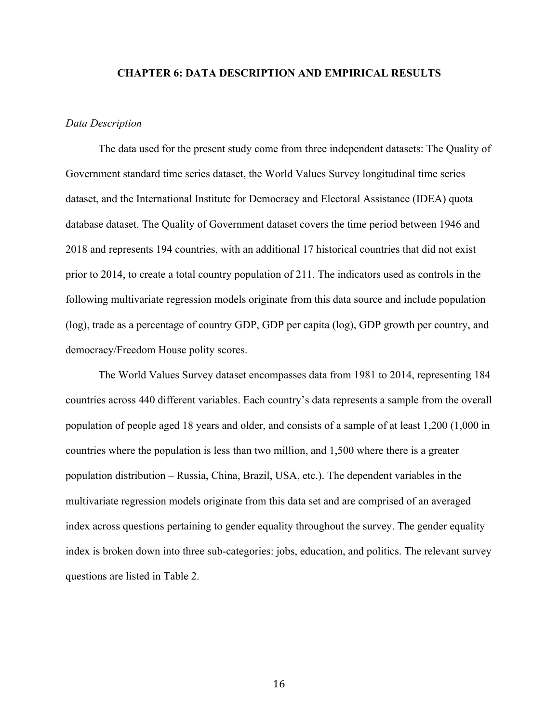#### **CHAPTER 6: DATA DESCRIPTION AND EMPIRICAL RESULTS**

#### *Data Description*

The data used for the present study come from three independent datasets: The Quality of Government standard time series dataset, the World Values Survey longitudinal time series dataset, and the International Institute for Democracy and Electoral Assistance (IDEA) quota database dataset. The Quality of Government dataset covers the time period between 1946 and 2018 and represents 194 countries, with an additional 17 historical countries that did not exist prior to 2014, to create a total country population of 211. The indicators used as controls in the following multivariate regression models originate from this data source and include population (log), trade as a percentage of country GDP, GDP per capita (log), GDP growth per country, and democracy/Freedom House polity scores.

The World Values Survey dataset encompasses data from 1981 to 2014, representing 184 countries across 440 different variables. Each country's data represents a sample from the overall population of people aged 18 years and older, and consists of a sample of at least 1,200 (1,000 in countries where the population is less than two million, and 1,500 where there is a greater population distribution – Russia, China, Brazil, USA, etc.). The dependent variables in the multivariate regression models originate from this data set and are comprised of an averaged index across questions pertaining to gender equality throughout the survey. The gender equality index is broken down into three sub-categories: jobs, education, and politics. The relevant survey questions are listed in Table 2.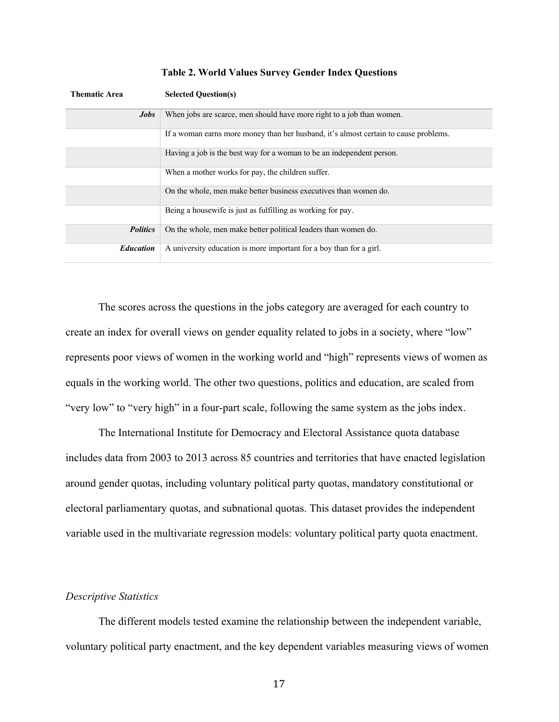| <b>Thematic Area</b> | <b>Selected Question(s)</b>                                                          |
|----------------------|--------------------------------------------------------------------------------------|
| <b>Jobs</b>          | When jobs are scarce, men should have more right to a job than women.                |
|                      | If a woman earns more money than her husband, it's almost certain to cause problems. |
|                      | Having a job is the best way for a woman to be an independent person.                |
|                      | When a mother works for pay, the children suffer.                                    |
|                      | On the whole, men make better business executives than women do.                     |
|                      | Being a housewife is just as fulfilling as working for pay.                          |
| <i>Politics</i>      | On the whole, men make better political leaders than women do.                       |
| <b>Education</b>     | A university education is more important for a boy than for a girl.                  |

**Table 2. World Values Survey Gender Index Questions**

The scores across the questions in the jobs category are averaged for each country to create an index for overall views on gender equality related to jobs in a society, where "low" represents poor views of women in the working world and "high" represents views of women as equals in the working world. The other two questions, politics and education, are scaled from "very low" to "very high" in a four-part scale, following the same system as the jobs index.

The International Institute for Democracy and Electoral Assistance quota database includes data from 2003 to 2013 across 85 countries and territories that have enacted legislation around gender quotas, including voluntary political party quotas, mandatory constitutional or electoral parliamentary quotas, and subnational quotas. This dataset provides the independent variable used in the multivariate regression models: voluntary political party quota enactment.

#### *Descriptive Statistics*

The different models tested examine the relationship between the independent variable, voluntary political party enactment, and the key dependent variables measuring views of women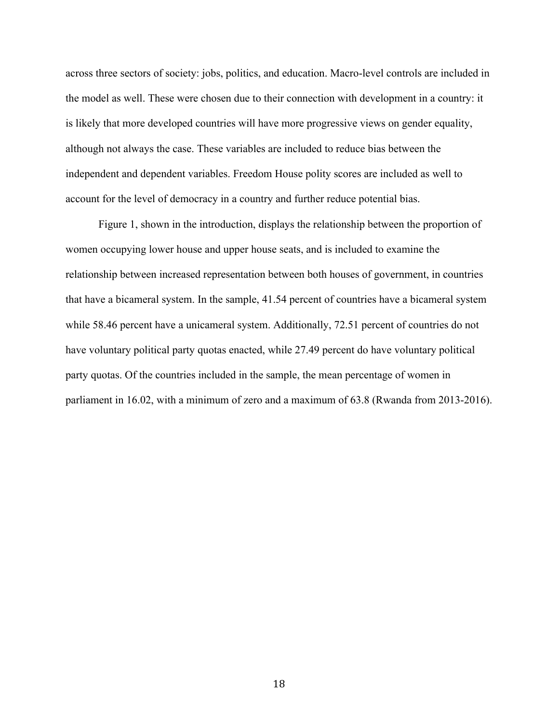across three sectors of society: jobs, politics, and education. Macro-level controls are included in the model as well. These were chosen due to their connection with development in a country: it is likely that more developed countries will have more progressive views on gender equality, although not always the case. These variables are included to reduce bias between the independent and dependent variables. Freedom House polity scores are included as well to account for the level of democracy in a country and further reduce potential bias.

Figure 1, shown in the introduction, displays the relationship between the proportion of women occupying lower house and upper house seats, and is included to examine the relationship between increased representation between both houses of government, in countries that have a bicameral system. In the sample, 41.54 percent of countries have a bicameral system while 58.46 percent have a unicameral system. Additionally, 72.51 percent of countries do not have voluntary political party quotas enacted, while 27.49 percent do have voluntary political party quotas. Of the countries included in the sample, the mean percentage of women in parliament in 16.02, with a minimum of zero and a maximum of 63.8 (Rwanda from 2013-2016).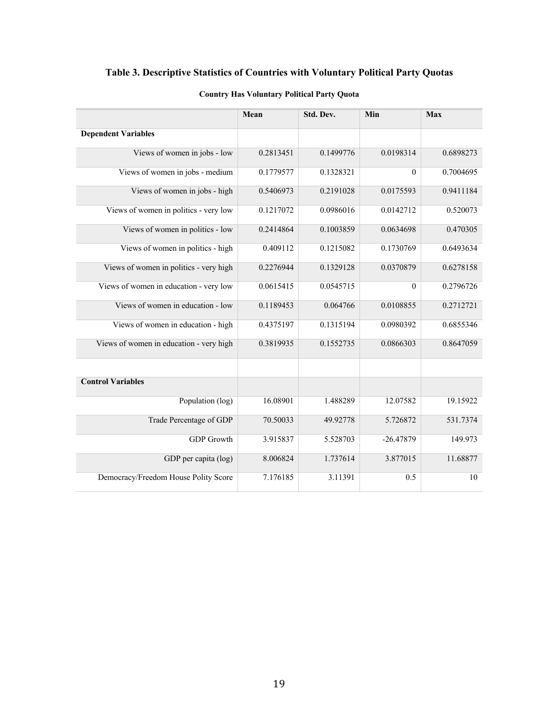## **Table 3. Descriptive Statistics of Countries with Voluntary Political Party Quotas**

|                                         | Mean      | Std. Dev. | Min         | <b>Max</b> |
|-----------------------------------------|-----------|-----------|-------------|------------|
| <b>Dependent Variables</b>              |           |           |             |            |
| Views of women in jobs - low            | 0.2813451 | 0.1499776 | 0.0198314   | 0.6898273  |
| Views of women in jobs - medium         | 0.1779577 | 0.1328321 | $\theta$    | 0.7004695  |
| Views of women in jobs - high           | 0.5406973 | 0.2191028 | 0.0175593   | 0.9411184  |
| Views of women in politics - very low   | 0.1217072 | 0.0986016 | 0.0142712   | 0.520073   |
| Views of women in politics - low        | 0.2414864 | 0.1003859 | 0.0634698   | 0.470305   |
| Views of women in politics - high       | 0.409112  | 0.1215082 | 0.1730769   | 0.6493634  |
| Views of women in politics - very high  | 0.2276944 | 0.1329128 | 0.0370879   | 0.6278158  |
| Views of women in education - very low  | 0.0615415 | 0.0545715 | $\theta$    | 0.2796726  |
| Views of women in education - low       | 0.1189453 | 0.064766  | 0.0108855   | 0.2712721  |
| Views of women in education - high      | 0.4375197 | 0.1315194 | 0.0980392   | 0.6855346  |
| Views of women in education - very high | 0.3819935 | 0.1552735 | 0.0866303   | 0.8647059  |
|                                         |           |           |             |            |
| <b>Control Variables</b>                |           |           |             |            |
| Population (log)                        | 16.08901  | 1.488289  | 12.07582    | 19.15922   |
| Trade Percentage of GDP                 | 70.50033  | 49.92778  | 5.726872    | 531.7374   |
| <b>GDP</b> Growth                       | 3.915837  | 5.528703  | $-26.47879$ | 149.973    |
| GDP per capita (log)                    | 8.006824  | 1.737614  | 3.877015    | 11.68877   |
| Democracy/Freedom House Polity Score    | 7.176185  | 3.11391   | 0.5         | 10         |

### **Country Has Voluntary Political Party Quota**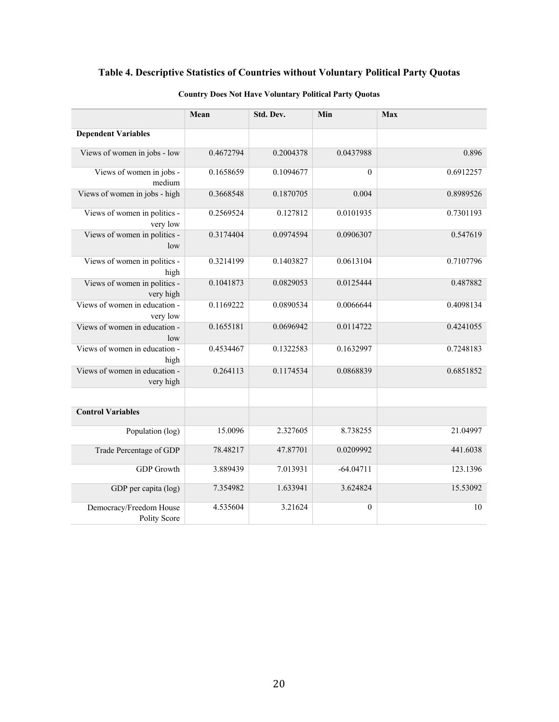## **Table 4. Descriptive Statistics of Countries without Voluntary Political Party Quotas**

|                                                | Mean      | Std. Dev. | Min              | Max       |
|------------------------------------------------|-----------|-----------|------------------|-----------|
| <b>Dependent Variables</b>                     |           |           |                  |           |
| Views of women in jobs - low                   | 0.4672794 | 0.2004378 | 0.0437988        | 0.896     |
| Views of women in jobs -<br>medium             | 0.1658659 | 0.1094677 | $\boldsymbol{0}$ | 0.6912257 |
| Views of women in jobs - high                  | 0.3668548 | 0.1870705 | 0.004            | 0.8989526 |
| Views of women in politics -<br>very low       | 0.2569524 | 0.127812  | 0.0101935        | 0.7301193 |
| Views of women in politics -<br>low            | 0.3174404 | 0.0974594 | 0.0906307        | 0.547619  |
| Views of women in politics -<br>high           | 0.3214199 | 0.1403827 | 0.0613104        | 0.7107796 |
| Views of women in politics -<br>very high      | 0.1041873 | 0.0829053 | 0.0125444        | 0.487882  |
| Views of women in education -<br>very low      | 0.1169222 | 0.0890534 | 0.0066644        | 0.4098134 |
| Views of women in education -<br>low           | 0.1655181 | 0.0696942 | 0.0114722        | 0.4241055 |
| Views of women in education -<br>high          | 0.4534467 | 0.1322583 | 0.1632997        | 0.7248183 |
| Views of women in education -<br>very high     | 0.264113  | 0.1174534 | 0.0868839        | 0.6851852 |
| <b>Control Variables</b>                       |           |           |                  |           |
| Population (log)                               | 15.0096   | 2.327605  | 8.738255         | 21.04997  |
| Trade Percentage of GDP                        | 78.48217  | 47.87701  | 0.0209992        | 441.6038  |
| <b>GDP</b> Growth                              | 3.889439  | 7.013931  | $-64.04711$      | 123.1396  |
| GDP per capita (log)                           | 7.354982  | 1.633941  | 3.624824         | 15.53092  |
| Democracy/Freedom House<br><b>Polity Score</b> | 4.535604  | 3.21624   | $\boldsymbol{0}$ | 10        |

### **Country Does Not Have Voluntary Political Party Quotas**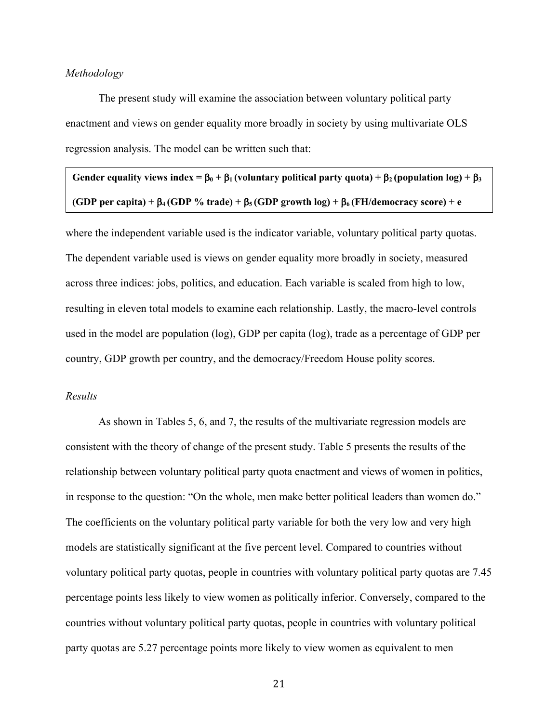#### *Methodology*

The present study will examine the association between voluntary political party enactment and views on gender equality more broadly in society by using multivariate OLS regression analysis. The model can be written such that:

Gender equality views index =  $\beta_0 + \beta_1$  (voluntary political party quota) +  $\beta_2$  (population log) +  $\beta_3$ **(GDP** per capita) +  $\beta_4$  (GDP % trade) +  $\beta_5$  (GDP growth log) +  $\beta_6$  (FH/democracy score) + e

where the independent variable used is the indicator variable, voluntary political party quotas. The dependent variable used is views on gender equality more broadly in society, measured across three indices: jobs, politics, and education. Each variable is scaled from high to low, resulting in eleven total models to examine each relationship. Lastly, the macro-level controls used in the model are population (log), GDP per capita (log), trade as a percentage of GDP per country, GDP growth per country, and the democracy/Freedom House polity scores.

### *Results*

As shown in Tables 5, 6, and 7, the results of the multivariate regression models are consistent with the theory of change of the present study. Table 5 presents the results of the relationship between voluntary political party quota enactment and views of women in politics, in response to the question: "On the whole, men make better political leaders than women do." The coefficients on the voluntary political party variable for both the very low and very high models are statistically significant at the five percent level. Compared to countries without voluntary political party quotas, people in countries with voluntary political party quotas are 7.45 percentage points less likely to view women as politically inferior. Conversely, compared to the countries without voluntary political party quotas, people in countries with voluntary political party quotas are 5.27 percentage points more likely to view women as equivalent to men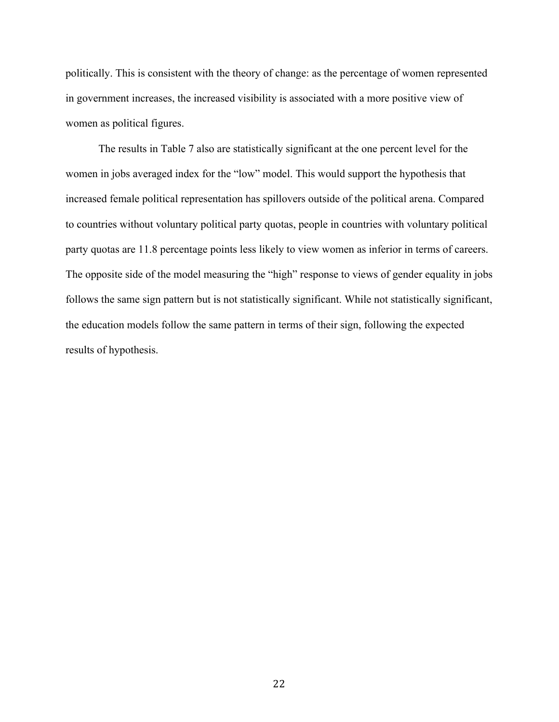politically. This is consistent with the theory of change: as the percentage of women represented in government increases, the increased visibility is associated with a more positive view of women as political figures.

The results in Table 7 also are statistically significant at the one percent level for the women in jobs averaged index for the "low" model. This would support the hypothesis that increased female political representation has spillovers outside of the political arena. Compared to countries without voluntary political party quotas, people in countries with voluntary political party quotas are 11.8 percentage points less likely to view women as inferior in terms of careers. The opposite side of the model measuring the "high" response to views of gender equality in jobs follows the same sign pattern but is not statistically significant. While not statistically significant, the education models follow the same pattern in terms of their sign, following the expected results of hypothesis.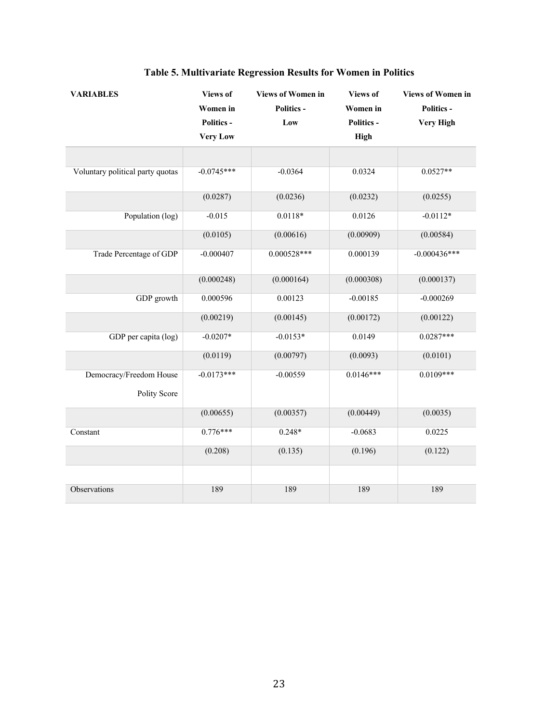| <b>VARIABLES</b>                        | <b>Views of</b>   | <b>Views of Women in</b> | <b>Views of</b>   | <b>Views of Women in</b> |
|-----------------------------------------|-------------------|--------------------------|-------------------|--------------------------|
|                                         | Women in          | <b>Politics -</b>        | Women in          | <b>Politics -</b>        |
|                                         | <b>Politics -</b> | Low                      | <b>Politics -</b> | <b>Very High</b>         |
|                                         | <b>Very Low</b>   |                          | High              |                          |
|                                         |                   |                          |                   |                          |
| Voluntary political party quotas        | $-0.0745***$      | $-0.0364$                | 0.0324            | $0.0527**$               |
|                                         | (0.0287)          | (0.0236)                 | (0.0232)          | (0.0255)                 |
| Population (log)                        | $-0.015$          | $0.0118*$                | 0.0126            | $-0.0112*$               |
|                                         | (0.0105)          | (0.00616)                | (0.00909)         | (0.00584)                |
| Trade Percentage of GDP                 | $-0.000407$       | $0.000528***$            | 0.000139          | $-0.000436***$           |
|                                         | (0.000248)        | (0.000164)               | (0.000308)        | (0.000137)               |
| GDP growth                              | 0.000596          | 0.00123                  | $-0.00185$        | $-0.000269$              |
|                                         | (0.00219)         | (0.00145)                | (0.00172)         | (0.00122)                |
| GDP per capita (log)                    | $-0.0207*$        | $-0.0153*$               | 0.0149            | $0.0287***$              |
|                                         | (0.0119)          | (0.00797)                | (0.0093)          | (0.0101)                 |
| Democracy/Freedom House<br>Polity Score | $-0.0173***$      | $-0.00559$               | $0.0146***$       | $0.0109***$              |
|                                         | (0.00655)         | (0.00357)                | (0.00449)         | (0.0035)                 |
| Constant                                | $0.776***$        | $0.248*$                 | $-0.0683$         | 0.0225                   |
|                                         | (0.208)           | (0.135)                  | (0.196)           | (0.122)                  |
|                                         |                   |                          |                   |                          |
| Observations                            | 189               | 189                      | 189               | 189                      |

# **Table 5. Multivariate Regression Results for Women in Politics**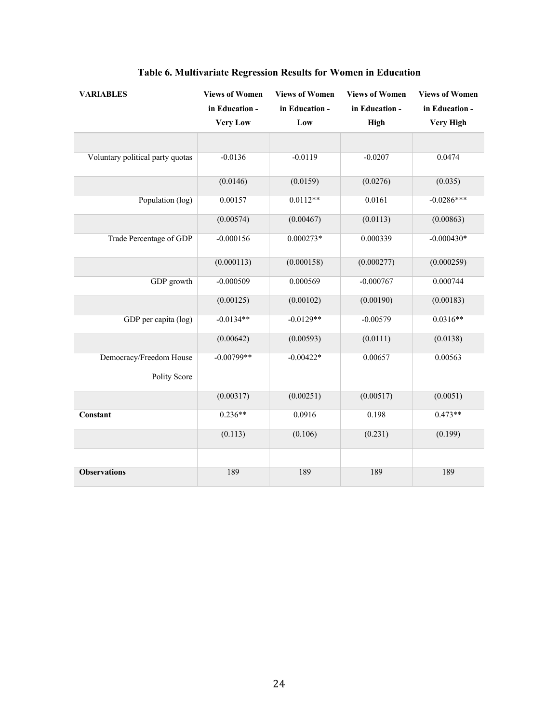| <b>VARIABLES</b>                 | <b>Views of Women</b> | <b>Views of Women</b> | <b>Views of Women</b> | <b>Views of Women</b> |
|----------------------------------|-----------------------|-----------------------|-----------------------|-----------------------|
|                                  | in Education -        | in Education -        | in Education -        | in Education -        |
|                                  | <b>Very Low</b>       | Low                   | <b>High</b>           | <b>Very High</b>      |
|                                  |                       |                       |                       |                       |
| Voluntary political party quotas | $-0.0136$             | $-0.0119$             | $-0.0207$             | 0.0474                |
|                                  | (0.0146)              | (0.0159)              | (0.0276)              | (0.035)               |
| Population (log)                 | 0.00157               | $0.0112**$            | 0.0161                | $-0.0286***$          |
|                                  | (0.00574)             | (0.00467)             | (0.0113)              | (0.00863)             |
| Trade Percentage of GDP          | $-0.000156$           | $0.000273*$           | 0.000339              | $-0.000430*$          |
|                                  | (0.000113)            | (0.000158)            | (0.000277)            | (0.000259)            |
| GDP growth                       | $-0.000509$           | 0.000569              | $-0.000767$           | 0.000744              |
|                                  | (0.00125)             | (0.00102)             | (0.00190)             | (0.00183)             |
| GDP per capita (log)             | $-0.0134**$           | $-0.0129**$           | $-0.00579$            | $0.0316**$            |
|                                  | (0.00642)             | (0.00593)             | (0.0111)              | (0.0138)              |
| Democracy/Freedom House          | $-0.00799**$          | $-0.00422*$           | 0.00657               | 0.00563               |
| Polity Score                     |                       |                       |                       |                       |
|                                  | (0.00317)             | (0.00251)             | (0.00517)             | (0.0051)              |
| Constant                         | $0.236**$             | 0.0916                | 0.198                 | $0.473**$             |
|                                  | (0.113)               | (0.106)               | (0.231)               | (0.199)               |
|                                  |                       |                       |                       |                       |
| <b>Observations</b>              | 189                   | 189                   | 189                   | 189                   |

## **Table 6. Multivariate Regression Results for Women in Education**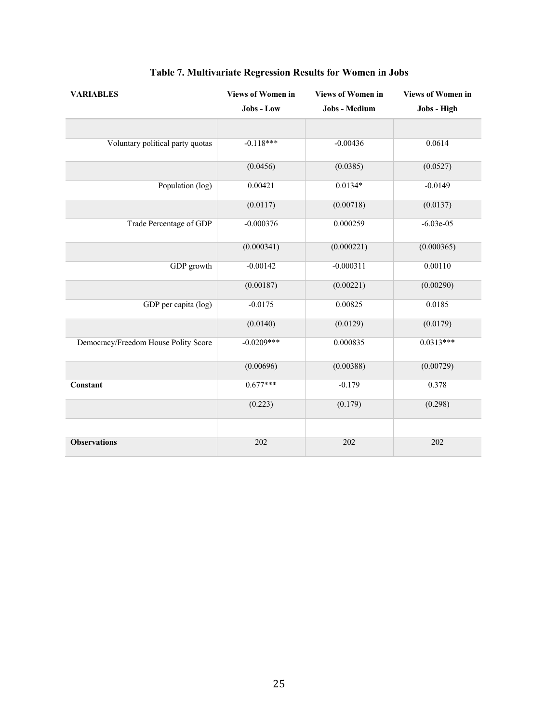| <b>VARIABLES</b>                     | <b>Views of Women in</b> | <b>Views of Women in</b> | <b>Views of Women in</b> |
|--------------------------------------|--------------------------|--------------------------|--------------------------|
|                                      | Jobs - Low               | Jobs - Medium            | Jobs - High              |
|                                      |                          |                          |                          |
| Voluntary political party quotas     | $-0.118***$              | $-0.00436$               | 0.0614                   |
|                                      | (0.0456)                 | (0.0385)                 | (0.0527)                 |
| Population (log)                     | 0.00421                  | $0.0134*$                | $-0.0149$                |
|                                      | (0.0117)                 | (0.00718)                | (0.0137)                 |
| Trade Percentage of GDP              | $-0.000376$              | 0.000259                 | $-6.03e-05$              |
|                                      | (0.000341)               | (0.000221)               | (0.000365)               |
| GDP growth                           | $-0.00142$               | $-0.000311$              | 0.00110                  |
|                                      | (0.00187)                | (0.00221)                | (0.00290)                |
| GDP per capita (log)                 | $-0.0175$                | 0.00825                  | 0.0185                   |
|                                      | (0.0140)                 | (0.0129)                 | (0.0179)                 |
| Democracy/Freedom House Polity Score | $-0.0209***$             | 0.000835                 | $0.0313***$              |
|                                      | (0.00696)                | (0.00388)                | (0.00729)                |
| Constant                             | $0.677***$               | $-0.179$                 | 0.378                    |
|                                      | (0.223)                  | (0.179)                  | (0.298)                  |
|                                      |                          |                          |                          |
| <b>Observations</b>                  | 202                      | 202                      | 202                      |

# **Table 7. Multivariate Regression Results for Women in Jobs**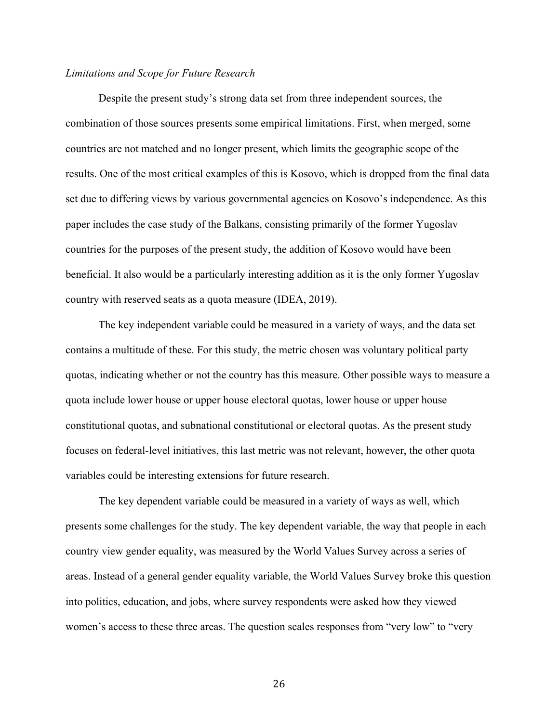#### *Limitations and Scope for Future Research*

Despite the present study's strong data set from three independent sources, the combination of those sources presents some empirical limitations. First, when merged, some countries are not matched and no longer present, which limits the geographic scope of the results. One of the most critical examples of this is Kosovo, which is dropped from the final data set due to differing views by various governmental agencies on Kosovo's independence. As this paper includes the case study of the Balkans, consisting primarily of the former Yugoslav countries for the purposes of the present study, the addition of Kosovo would have been beneficial. It also would be a particularly interesting addition as it is the only former Yugoslav country with reserved seats as a quota measure (IDEA, 2019).

The key independent variable could be measured in a variety of ways, and the data set contains a multitude of these. For this study, the metric chosen was voluntary political party quotas, indicating whether or not the country has this measure. Other possible ways to measure a quota include lower house or upper house electoral quotas, lower house or upper house constitutional quotas, and subnational constitutional or electoral quotas. As the present study focuses on federal-level initiatives, this last metric was not relevant, however, the other quota variables could be interesting extensions for future research.

The key dependent variable could be measured in a variety of ways as well, which presents some challenges for the study. The key dependent variable, the way that people in each country view gender equality, was measured by the World Values Survey across a series of areas. Instead of a general gender equality variable, the World Values Survey broke this question into politics, education, and jobs, where survey respondents were asked how they viewed women's access to these three areas. The question scales responses from "very low" to "very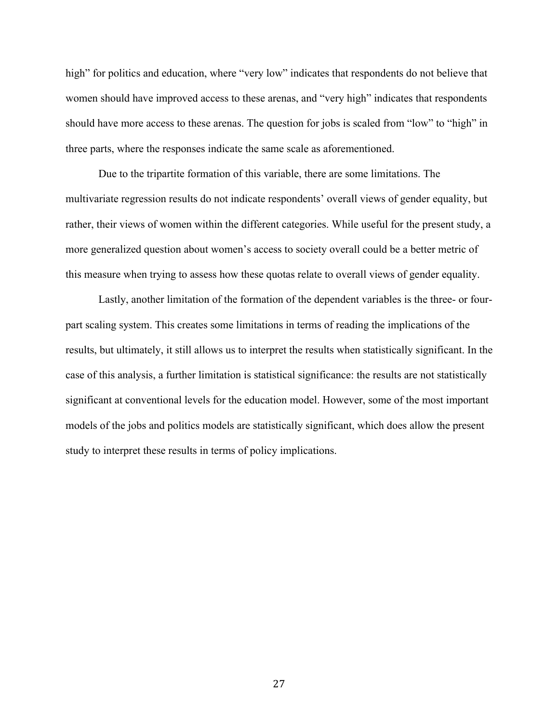high" for politics and education, where "very low" indicates that respondents do not believe that women should have improved access to these arenas, and "very high" indicates that respondents should have more access to these arenas. The question for jobs is scaled from "low" to "high" in three parts, where the responses indicate the same scale as aforementioned.

Due to the tripartite formation of this variable, there are some limitations. The multivariate regression results do not indicate respondents' overall views of gender equality, but rather, their views of women within the different categories. While useful for the present study, a more generalized question about women's access to society overall could be a better metric of this measure when trying to assess how these quotas relate to overall views of gender equality.

Lastly, another limitation of the formation of the dependent variables is the three- or fourpart scaling system. This creates some limitations in terms of reading the implications of the results, but ultimately, it still allows us to interpret the results when statistically significant. In the case of this analysis, a further limitation is statistical significance: the results are not statistically significant at conventional levels for the education model. However, some of the most important models of the jobs and politics models are statistically significant, which does allow the present study to interpret these results in terms of policy implications.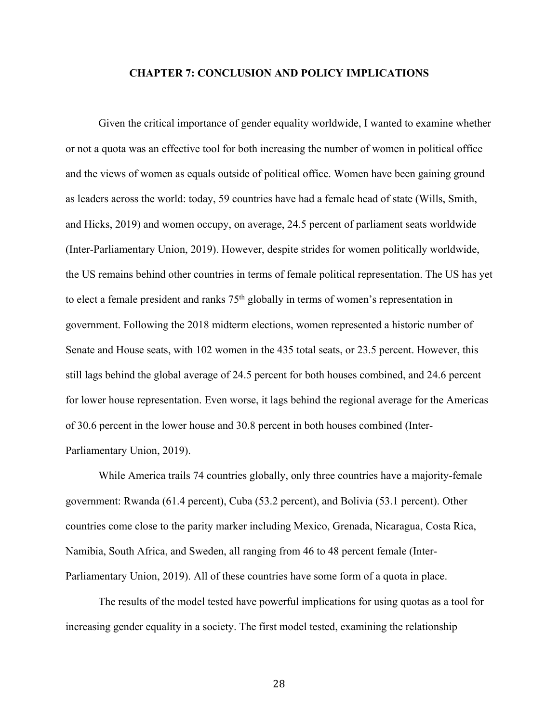#### **CHAPTER 7: CONCLUSION AND POLICY IMPLICATIONS**

Given the critical importance of gender equality worldwide, I wanted to examine whether or not a quota was an effective tool for both increasing the number of women in political office and the views of women as equals outside of political office. Women have been gaining ground as leaders across the world: today, 59 countries have had a female head of state (Wills, Smith, and Hicks, 2019) and women occupy, on average, 24.5 percent of parliament seats worldwide (Inter-Parliamentary Union, 2019). However, despite strides for women politically worldwide, the US remains behind other countries in terms of female political representation. The US has yet to elect a female president and ranks  $75<sup>th</sup>$  globally in terms of women's representation in government. Following the 2018 midterm elections, women represented a historic number of Senate and House seats, with 102 women in the 435 total seats, or 23.5 percent. However, this still lags behind the global average of 24.5 percent for both houses combined, and 24.6 percent for lower house representation. Even worse, it lags behind the regional average for the Americas of 30.6 percent in the lower house and 30.8 percent in both houses combined (Inter-Parliamentary Union, 2019).

While America trails 74 countries globally, only three countries have a majority-female government: Rwanda (61.4 percent), Cuba (53.2 percent), and Bolivia (53.1 percent). Other countries come close to the parity marker including Mexico, Grenada, Nicaragua, Costa Rica, Namibia, South Africa, and Sweden, all ranging from 46 to 48 percent female (Inter-Parliamentary Union, 2019). All of these countries have some form of a quota in place.

The results of the model tested have powerful implications for using quotas as a tool for increasing gender equality in a society. The first model tested, examining the relationship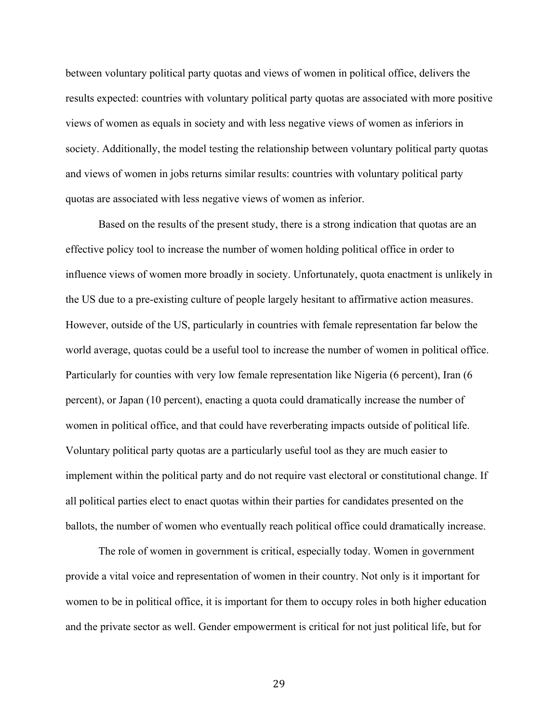between voluntary political party quotas and views of women in political office, delivers the results expected: countries with voluntary political party quotas are associated with more positive views of women as equals in society and with less negative views of women as inferiors in society. Additionally, the model testing the relationship between voluntary political party quotas and views of women in jobs returns similar results: countries with voluntary political party quotas are associated with less negative views of women as inferior.

Based on the results of the present study, there is a strong indication that quotas are an effective policy tool to increase the number of women holding political office in order to influence views of women more broadly in society. Unfortunately, quota enactment is unlikely in the US due to a pre-existing culture of people largely hesitant to affirmative action measures. However, outside of the US, particularly in countries with female representation far below the world average, quotas could be a useful tool to increase the number of women in political office. Particularly for counties with very low female representation like Nigeria (6 percent), Iran (6 percent), or Japan (10 percent), enacting a quota could dramatically increase the number of women in political office, and that could have reverberating impacts outside of political life. Voluntary political party quotas are a particularly useful tool as they are much easier to implement within the political party and do not require vast electoral or constitutional change. If all political parties elect to enact quotas within their parties for candidates presented on the ballots, the number of women who eventually reach political office could dramatically increase.

The role of women in government is critical, especially today. Women in government provide a vital voice and representation of women in their country. Not only is it important for women to be in political office, it is important for them to occupy roles in both higher education and the private sector as well. Gender empowerment is critical for not just political life, but for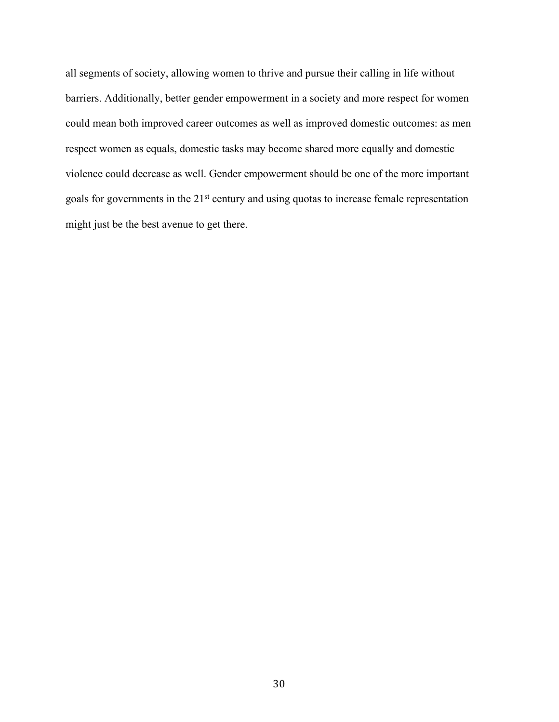all segments of society, allowing women to thrive and pursue their calling in life without barriers. Additionally, better gender empowerment in a society and more respect for women could mean both improved career outcomes as well as improved domestic outcomes: as men respect women as equals, domestic tasks may become shared more equally and domestic violence could decrease as well. Gender empowerment should be one of the more important goals for governments in the 21st century and using quotas to increase female representation might just be the best avenue to get there.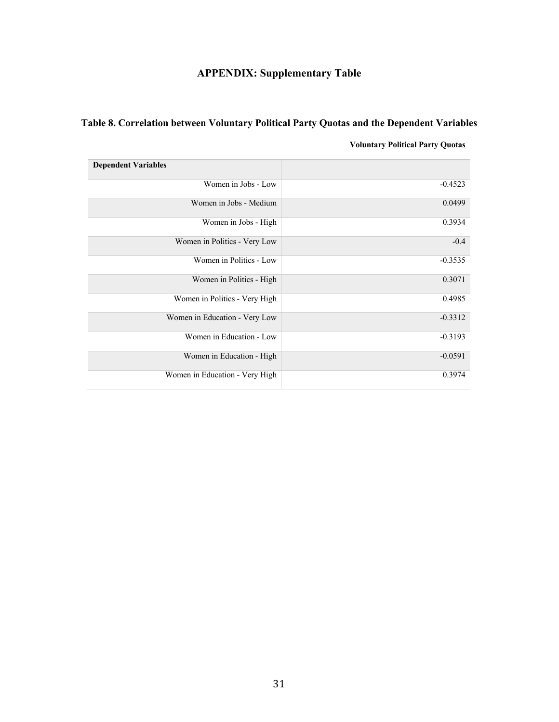# **APPENDIX: Supplementary Table**

## **Table 8. Correlation between Voluntary Political Party Quotas and the Dependent Variables**

### **Voluntary Political Party Quotas**

| <b>Dependent Variables</b>     |           |
|--------------------------------|-----------|
| Women in Jobs - Low            | $-0.4523$ |
| Women in Jobs - Medium         | 0.0499    |
| Women in Jobs - High           | 0.3934    |
| Women in Politics - Very Low   | $-0.4$    |
| Women in Politics - Low        | $-0.3535$ |
| Women in Politics - High       | 0.3071    |
| Women in Politics - Very High  | 0.4985    |
| Women in Education - Very Low  | $-0.3312$ |
| Women in Education - Low       | $-0.3193$ |
| Women in Education - High      | $-0.0591$ |
| Women in Education - Very High | 0.3974    |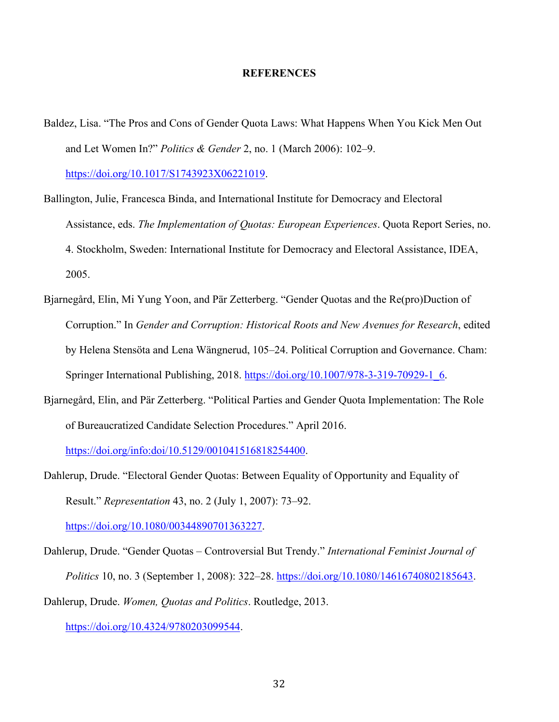#### **REFERENCES**

- Baldez, Lisa. "The Pros and Cons of Gender Quota Laws: What Happens When You Kick Men Out and Let Women In?" *Politics & Gender* 2, no. 1 (March 2006): 102–9. https://doi.org/10.1017/S1743923X06221019.
- Ballington, Julie, Francesca Binda, and International Institute for Democracy and Electoral Assistance, eds. *The Implementation of Quotas: European Experiences*. Quota Report Series, no. 4. Stockholm, Sweden: International Institute for Democracy and Electoral Assistance, IDEA, 2005.
- Bjarnegård, Elin, Mi Yung Yoon, and Pär Zetterberg. "Gender Quotas and the Re(pro)Duction of Corruption." In *Gender and Corruption: Historical Roots and New Avenues for Research*, edited by Helena Stensöta and Lena Wängnerud, 105–24. Political Corruption and Governance. Cham: Springer International Publishing, 2018. https://doi.org/10.1007/978-3-319-70929-1\_6.
- Bjarnegård, Elin, and Pär Zetterberg. "Political Parties and Gender Quota Implementation: The Role of Bureaucratized Candidate Selection Procedures." April 2016.

https://doi.org/info:doi/10.5129/001041516818254400.

Dahlerup, Drude. "Electoral Gender Quotas: Between Equality of Opportunity and Equality of Result." *Representation* 43, no. 2 (July 1, 2007): 73–92.

https://doi.org/10.1080/00344890701363227.

Dahlerup, Drude. "Gender Quotas – Controversial But Trendy." *International Feminist Journal of Politics* 10, no. 3 (September 1, 2008): 322–28. https://doi.org/10.1080/14616740802185643. Dahlerup, Drude. *Women, Quotas and Politics*. Routledge, 2013.

https://doi.org/10.4324/9780203099544.